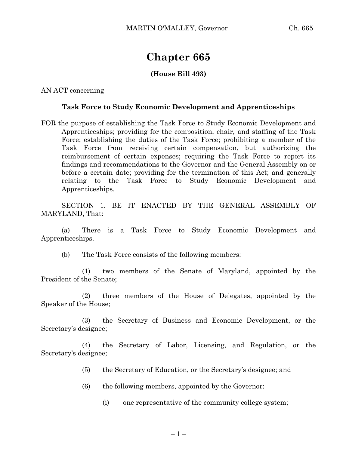## **Chapter 665**

## **(House Bill 493)**

AN ACT concerning

## **Task Force to Study Economic Development and Apprenticeships**

FOR the purpose of establishing the Task Force to Study Economic Development and Apprenticeships; providing for the composition, chair, and staffing of the Task Force; establishing the duties of the Task Force; prohibiting a member of the Task Force from receiving certain compensation, but authorizing the reimbursement of certain expenses; requiring the Task Force to report its findings and recommendations to the Governor and the General Assembly on or before a certain date; providing for the termination of this Act; and generally relating to the Task Force to Study Economic Development and Apprenticeships.

SECTION 1. BE IT ENACTED BY THE GENERAL ASSEMBLY OF MARYLAND, That:

(a) There is a Task Force to Study Economic Development and Apprenticeships.

(b) The Task Force consists of the following members:

(1) two members of the Senate of Maryland, appointed by the President of the Senate;

(2) three members of the House of Delegates, appointed by the Speaker of the House;

(3) the Secretary of Business and Economic Development, or the Secretary's designee;

(4) the Secretary of Labor, Licensing, and Regulation, or the Secretary's designee;

- (5) the Secretary of Education, or the Secretary's designee; and
- (6) the following members, appointed by the Governor:
	- (i) one representative of the community college system;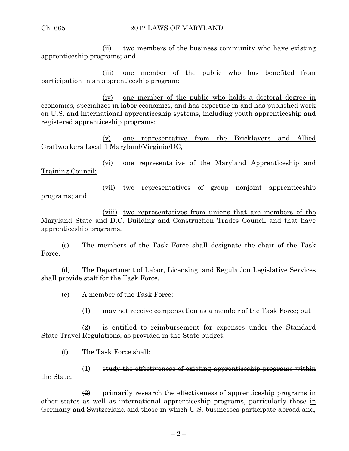(ii) two members of the business community who have existing apprenticeship programs; and

(iii) one member of the public who has benefited from participation in an apprenticeship program;

(iv) one member of the public who holds a doctoral degree in economics, specializes in labor economics, and has expertise in and has published work on U.S. and international apprenticeship systems, including youth apprenticeship and registered apprenticeship programs;

(v) one representative from the Bricklayers and Allied Craftworkers Local 1 Maryland/Virginia/DC;

(vi) one representative of the Maryland Apprenticeship and Training Council;

(vii) two representatives of group nonjoint apprenticeship programs; and

(viii) two representatives from unions that are members of the Maryland State and D.C. Building and Construction Trades Council and that have apprenticeship programs.

(c) The members of the Task Force shall designate the chair of the Task Force.

(d) The Department of  $\frac{L}{k}$  Licensing, and Regulation Legislative Services shall provide staff for the Task Force.

(e) A member of the Task Force:

(1) may not receive compensation as a member of the Task Force; but

(2) is entitled to reimbursement for expenses under the Standard State Travel Regulations, as provided in the State budget.

(f) The Task Force shall:

## $(1)$  study the effectiveness of existing apprenticeship programs within the State;

 $\left( \frac{2}{2} \right)$  primarily research the effectiveness of apprenticeship programs in other states as well as international apprenticeship programs, particularly those in Germany and Switzerland and those in which U.S. businesses participate abroad and,